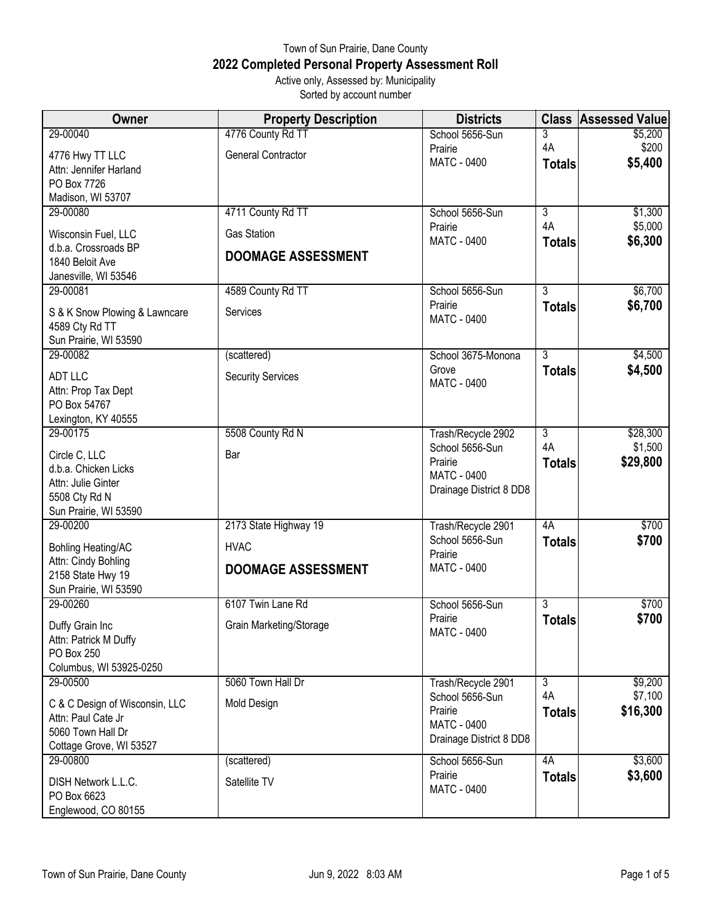## Town of Sun Prairie, Dane County **2022 Completed Personal Property Assessment Roll** Active only, Assessed by: Municipality

Sorted by account number

| Owner                          | <b>Property Description</b> | <b>Districts</b>              | <b>Class</b>   | <b>Assessed Value</b> |
|--------------------------------|-----------------------------|-------------------------------|----------------|-----------------------|
| 29-00040                       | 4776 County Rd TT           | School 5656-Sun               | 3              | \$5,200               |
| 4776 Hwy TT LLC                | <b>General Contractor</b>   | Prairie                       | 4A             | \$200                 |
| Attn: Jennifer Harland         |                             | <b>MATC - 0400</b>            | <b>Totals</b>  | \$5,400               |
| PO Box 7726                    |                             |                               |                |                       |
| Madison, WI 53707              |                             |                               |                |                       |
| 29-00080                       | 4711 County Rd TT           | School 5656-Sun               | $\overline{3}$ | \$1,300               |
| Wisconsin Fuel, LLC            | <b>Gas Station</b>          | Prairie<br><b>MATC - 0400</b> | 4A             | \$5,000               |
| d.b.a. Crossroads BP           | <b>DOOMAGE ASSESSMENT</b>   |                               | <b>Totals</b>  | \$6,300               |
| 1840 Beloit Ave                |                             |                               |                |                       |
| Janesville, WI 53546           |                             |                               |                |                       |
| 29-00081                       | 4589 County Rd TT           | School 5656-Sun               | $\overline{3}$ | \$6,700               |
| S & K Snow Plowing & Lawncare  | Services                    | Prairie<br><b>MATC - 0400</b> | <b>Totals</b>  | \$6,700               |
| 4589 Cty Rd TT                 |                             |                               |                |                       |
| Sun Prairie, WI 53590          |                             |                               |                |                       |
| 29-00082                       | (scattered)                 | School 3675-Monona            | $\overline{3}$ | \$4,500               |
| <b>ADT LLC</b>                 | <b>Security Services</b>    | Grove                         | <b>Totals</b>  | \$4,500               |
| Attn: Prop Tax Dept            |                             | <b>MATC - 0400</b>            |                |                       |
| PO Box 54767                   |                             |                               |                |                       |
| Lexington, KY 40555            |                             |                               |                |                       |
| 29-00175                       | 5508 County Rd N            | Trash/Recycle 2902            | $\overline{3}$ | \$28,300              |
| Circle C, LLC                  | Bar                         | School 5656-Sun               | 4A             | \$1,500               |
| d.b.a. Chicken Licks           |                             | Prairie                       | <b>Totals</b>  | \$29,800              |
| Attn: Julie Ginter             |                             | <b>MATC - 0400</b>            |                |                       |
| 5508 Cty Rd N                  |                             | Drainage District 8 DD8       |                |                       |
| Sun Prairie, WI 53590          |                             |                               |                |                       |
| 29-00200                       | 2173 State Highway 19       | Trash/Recycle 2901            | 4A             | \$700                 |
| <b>Bohling Heating/AC</b>      | <b>HVAC</b>                 | School 5656-Sun               | <b>Totals</b>  | \$700                 |
| Attn: Cindy Bohling            |                             | Prairie<br><b>MATC - 0400</b> |                |                       |
| 2158 State Hwy 19              | <b>DOOMAGE ASSESSMENT</b>   |                               |                |                       |
| Sun Prairie, WI 53590          |                             |                               |                |                       |
| 29-00260                       | 6107 Twin Lane Rd           | School 5656-Sun               | $\overline{3}$ | \$700                 |
| Duffy Grain Inc                | Grain Marketing/Storage     | Prairie                       | <b>Totals</b>  | \$700                 |
| Attn: Patrick M Duffy          |                             | MATC - 0400                   |                |                       |
| <b>PO Box 250</b>              |                             |                               |                |                       |
| Columbus, WI 53925-0250        |                             |                               |                |                       |
| 29-00500                       | 5060 Town Hall Dr           | Trash/Recycle 2901            | $\overline{3}$ | \$9,200               |
| C & C Design of Wisconsin, LLC | Mold Design                 | School 5656-Sun               | 4A             | \$7,100               |
| Attn: Paul Cate Jr             |                             | Prairie<br><b>MATC - 0400</b> | <b>Totals</b>  | \$16,300              |
| 5060 Town Hall Dr              |                             | Drainage District 8 DD8       |                |                       |
| Cottage Grove, WI 53527        |                             |                               |                |                       |
| 29-00800                       | (scattered)                 | School 5656-Sun               | 4A             | \$3,600               |
| DISH Network L.L.C.            | Satellite TV                | Prairie                       | <b>Totals</b>  | \$3,600               |
| PO Box 6623                    |                             | <b>MATC - 0400</b>            |                |                       |
| Englewood, CO 80155            |                             |                               |                |                       |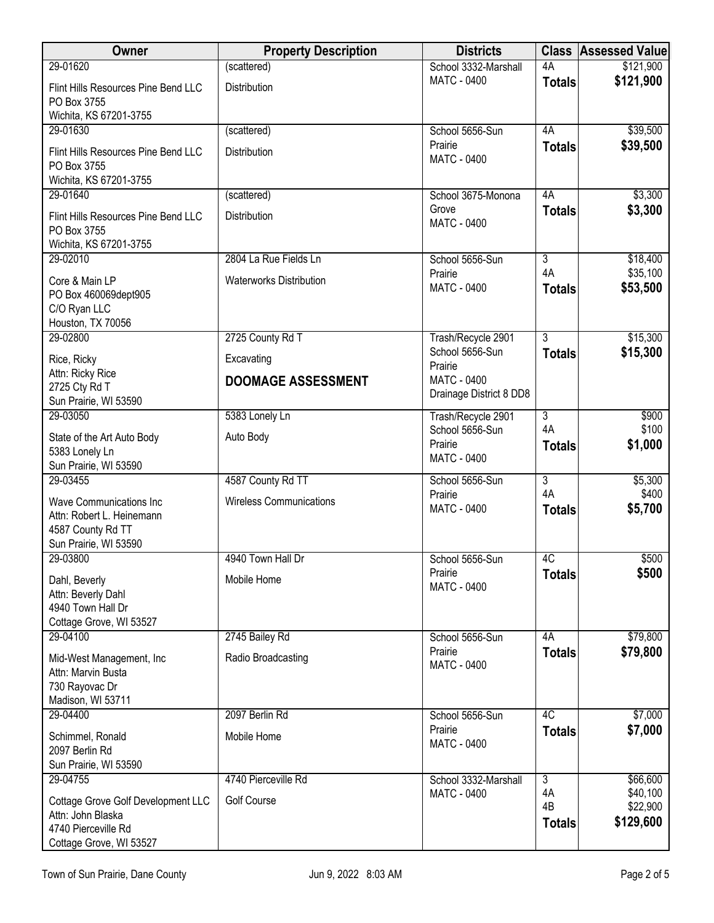| Owner                                                                                                     | <b>Property Description</b>    | <b>Districts</b>                                 | <b>Class</b>              | <b>Assessed Value</b>             |
|-----------------------------------------------------------------------------------------------------------|--------------------------------|--------------------------------------------------|---------------------------|-----------------------------------|
| 29-01620                                                                                                  | (scattered)                    | School 3332-Marshall                             | 4A                        | \$121,900                         |
| Flint Hills Resources Pine Bend LLC<br>PO Box 3755<br>Wichita, KS 67201-3755                              | Distribution                   | MATC - 0400                                      | <b>Totals</b>             | \$121,900                         |
| 29-01630                                                                                                  | (scattered)                    | School 5656-Sun                                  | 4A                        | \$39,500                          |
| Flint Hills Resources Pine Bend LLC<br>PO Box 3755<br>Wichita, KS 67201-3755                              | Distribution                   | Prairie<br><b>MATC - 0400</b>                    | <b>Totals</b>             | \$39,500                          |
| 29-01640                                                                                                  | (scattered)                    | School 3675-Monona                               | 4A                        | \$3,300                           |
| Flint Hills Resources Pine Bend LLC<br>PO Box 3755<br>Wichita, KS 67201-3755                              | Distribution                   | Grove<br><b>MATC - 0400</b>                      | <b>Totals</b>             | \$3,300                           |
| 29-02010                                                                                                  | 2804 La Rue Fields Ln          | School 5656-Sun                                  | $\overline{3}$            | \$18,400                          |
| Core & Main LP<br>PO Box 460069dept905<br>C/O Ryan LLC                                                    | <b>Waterworks Distribution</b> | Prairie<br><b>MATC - 0400</b>                    | 4A<br><b>Totals</b>       | \$35,100<br>\$53,500              |
| Houston, TX 70056                                                                                         |                                |                                                  |                           |                                   |
| 29-02800                                                                                                  | 2725 County Rd T               | Trash/Recycle 2901                               | $\overline{3}$            | \$15,300                          |
| Rice, Ricky                                                                                               | Excavating                     | School 5656-Sun<br>Prairie                       | <b>Totals</b>             | \$15,300                          |
| Attn: Ricky Rice<br>2725 Cty Rd T<br>Sun Prairie, WI 53590                                                | <b>DOOMAGE ASSESSMENT</b>      | <b>MATC - 0400</b><br>Drainage District 8 DD8    |                           |                                   |
| 29-03050                                                                                                  | 5383 Lonely Ln                 | Trash/Recycle 2901                               | $\overline{3}$            | \$900                             |
| State of the Art Auto Body<br>5383 Lonely Ln<br>Sun Prairie, WI 53590                                     | Auto Body                      | School 5656-Sun<br>Prairie<br><b>MATC - 0400</b> | 4A<br><b>Totals</b>       | \$100<br>\$1,000                  |
| 29-03455                                                                                                  | 4587 County Rd TT              | School 5656-Sun                                  | $\overline{3}$            | \$5,300                           |
| <b>Wave Communications Inc</b><br>Attn: Robert L. Heinemann<br>4587 County Rd TT<br>Sun Prairie, WI 53590 | <b>Wireless Communications</b> | Prairie<br><b>MATC - 0400</b>                    | 4A<br><b>Totals</b>       | \$400<br>\$5,700                  |
| 29-03800                                                                                                  | 4940 Town Hall Dr              | School 5656-Sun                                  | 4C                        | \$500                             |
| Dahl, Beverly<br>Attn: Beverly Dahl<br>4940 Town Hall Dr<br>Cottage Grove, WI 53527                       | Mobile Home                    | Prairie<br><b>MATC - 0400</b>                    | <b>Totals</b>             | \$500                             |
| 29-04100                                                                                                  | 2745 Bailey Rd                 | School 5656-Sun                                  | 4A                        | \$79,800                          |
| Mid-West Management, Inc<br>Attn: Marvin Busta<br>730 Rayovac Dr<br>Madison, WI 53711                     | Radio Broadcasting             | Prairie<br><b>MATC - 0400</b>                    | <b>Totals</b>             | \$79,800                          |
| 29-04400                                                                                                  | 2097 Berlin Rd                 | School 5656-Sun                                  | 4C                        | \$7,000                           |
| Schimmel, Ronald<br>2097 Berlin Rd<br>Sun Prairie, WI 53590                                               | Mobile Home                    | Prairie<br><b>MATC - 0400</b>                    | <b>Totals</b>             | \$7,000                           |
| 29-04755                                                                                                  | 4740 Pierceville Rd            | School 3332-Marshall                             | $\overline{3}$            | \$66,600                          |
| Cottage Grove Golf Development LLC<br>Attn: John Blaska<br>4740 Pierceville Rd<br>Cottage Grove, WI 53527 | <b>Golf Course</b>             | <b>MATC - 0400</b>                               | 4A<br>4B<br><b>Totals</b> | \$40,100<br>\$22,900<br>\$129,600 |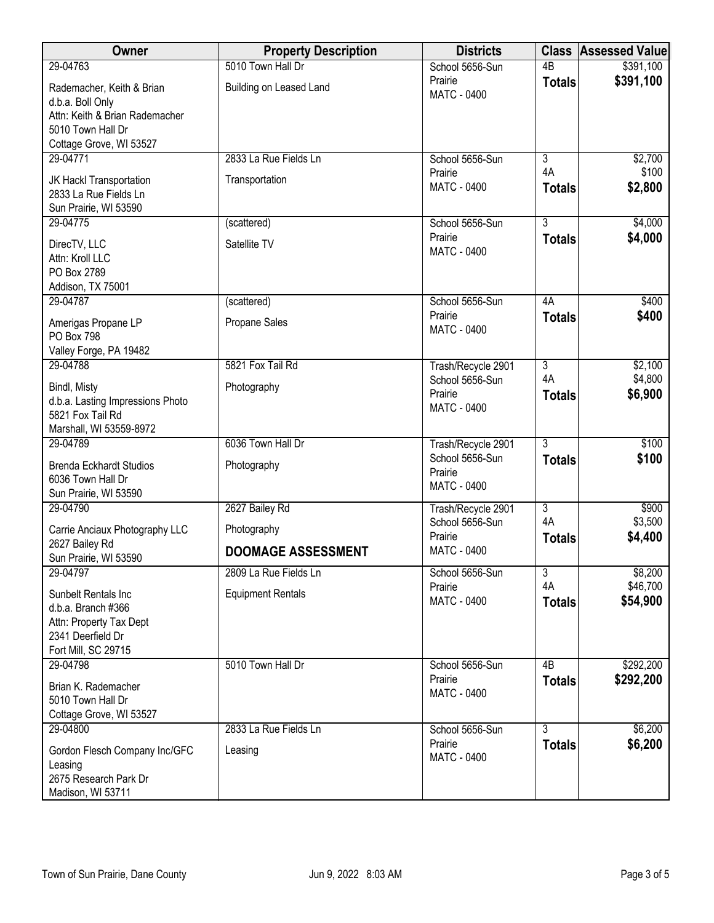| Owner                                                                                  | <b>Property Description</b> | <b>Districts</b>                                 | <b>Class</b>        | <b>Assessed Value</b> |
|----------------------------------------------------------------------------------------|-----------------------------|--------------------------------------------------|---------------------|-----------------------|
| 29-04763                                                                               | 5010 Town Hall Dr           | School 5656-Sun                                  | $\overline{AB}$     | \$391,100             |
| Rademacher, Keith & Brian<br>d.b.a. Boll Only<br>Attn: Keith & Brian Rademacher        | Building on Leased Land     | Prairie<br><b>MATC - 0400</b>                    | <b>Totals</b>       | \$391,100             |
| 5010 Town Hall Dr                                                                      |                             |                                                  |                     |                       |
| Cottage Grove, WI 53527                                                                |                             |                                                  |                     |                       |
| 29-04771                                                                               | 2833 La Rue Fields Ln       | School 5656-Sun                                  | $\overline{3}$      | \$2,700               |
| JK Hackl Transportation<br>2833 La Rue Fields Ln<br>Sun Prairie, WI 53590              | Transportation              | Prairie<br><b>MATC - 0400</b>                    | 4A<br><b>Totals</b> | \$100<br>\$2,800      |
| 29-04775                                                                               | (scattered)                 | School 5656-Sun                                  | $\overline{3}$      | \$4,000               |
| DirecTV, LLC<br>Attn: Kroll LLC<br>PO Box 2789                                         | Satellite TV                | Prairie<br><b>MATC - 0400</b>                    | <b>Totals</b>       | \$4,000               |
| Addison, TX 75001                                                                      |                             |                                                  |                     |                       |
| 29-04787                                                                               | (scattered)                 | School 5656-Sun                                  | 4A                  | \$400                 |
| Amerigas Propane LP<br><b>PO Box 798</b><br>Valley Forge, PA 19482                     | Propane Sales               | Prairie<br><b>MATC - 0400</b>                    | <b>Totals</b>       | \$400                 |
| 29-04788                                                                               | 5821 Fox Tail Rd            | Trash/Recycle 2901                               | $\overline{3}$      | \$2,100               |
| Bindl, Misty<br>d.b.a. Lasting Impressions Photo<br>5821 Fox Tail Rd                   | Photography                 | School 5656-Sun<br>Prairie<br><b>MATC - 0400</b> | 4A<br><b>Totals</b> | \$4,800<br>\$6,900    |
| Marshall, WI 53559-8972                                                                |                             |                                                  |                     |                       |
| 29-04789                                                                               | 6036 Town Hall Dr           | Trash/Recycle 2901                               | $\overline{3}$      | \$100                 |
| <b>Brenda Eckhardt Studios</b><br>6036 Town Hall Dr<br>Sun Prairie, WI 53590           | Photography                 | School 5656-Sun<br>Prairie<br><b>MATC - 0400</b> | <b>Totals</b>       | \$100                 |
| 29-04790                                                                               | 2627 Bailey Rd              | Trash/Recycle 2901                               | $\overline{3}$      | \$900                 |
| Carrie Anciaux Photography LLC                                                         | Photography                 | School 5656-Sun<br>Prairie                       | 4A<br><b>Totals</b> | \$3,500<br>\$4,400    |
| 2627 Bailey Rd<br>Sun Prairie, WI 53590                                                | <b>DOOMAGE ASSESSMENT</b>   | <b>MATC - 0400</b>                               |                     |                       |
| 29-04797                                                                               | 2809 La Rue Fields Ln       | School 5656-Sun                                  | 3                   | \$8,200               |
| Sunbelt Rentals Inc<br>d.b.a. Branch #366<br>Attn: Property Tax Dept                   | <b>Equipment Rentals</b>    | Prairie<br>MATC - 0400                           | 4A<br><b>Totals</b> | \$46,700<br>\$54,900  |
| 2341 Deerfield Dr<br>Fort Mill, SC 29715                                               |                             |                                                  |                     |                       |
| 29-04798                                                                               | 5010 Town Hall Dr           | School 5656-Sun                                  | 4 <sub>B</sub>      | \$292,200             |
| Brian K. Rademacher<br>5010 Town Hall Dr<br>Cottage Grove, WI 53527                    |                             | Prairie<br>MATC - 0400                           | <b>Totals</b>       | \$292,200             |
| 29-04800                                                                               | 2833 La Rue Fields Ln       | School 5656-Sun                                  | $\overline{3}$      | \$6,200               |
| Gordon Flesch Company Inc/GFC<br>Leasing<br>2675 Research Park Dr<br>Madison, WI 53711 | Leasing                     | Prairie<br><b>MATC - 0400</b>                    | <b>Totals</b>       | \$6,200               |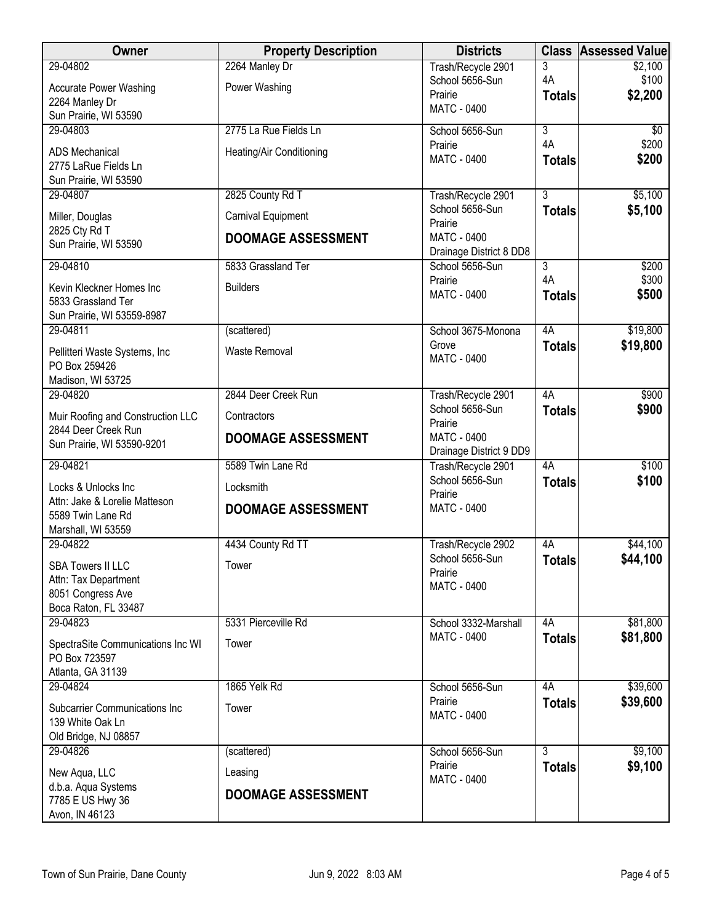| Owner                                                    | <b>Property Description</b> | <b>Districts</b>                              |                | <b>Class Assessed Value</b> |
|----------------------------------------------------------|-----------------------------|-----------------------------------------------|----------------|-----------------------------|
| 29-04802                                                 | 2264 Manley Dr              | Trash/Recycle 2901                            | 3              | \$2,100                     |
| <b>Accurate Power Washing</b>                            | Power Washing               | School 5656-Sun<br>Prairie                    | 4A             | \$100                       |
| 2264 Manley Dr                                           |                             | <b>MATC - 0400</b>                            | <b>Totals</b>  | \$2,200                     |
| Sun Prairie, WI 53590                                    |                             |                                               |                |                             |
| 29-04803                                                 | 2775 La Rue Fields Ln       | School 5656-Sun                               | $\overline{3}$ | $\sqrt[6]{}$                |
| <b>ADS Mechanical</b>                                    | Heating/Air Conditioning    | Prairie<br><b>MATC - 0400</b>                 | 4A             | \$200                       |
| 2775 LaRue Fields Ln                                     |                             |                                               | <b>Totals</b>  | \$200                       |
| Sun Prairie, WI 53590                                    |                             |                                               |                |                             |
| 29-04807                                                 | 2825 County Rd T            | Trash/Recycle 2901                            | $\overline{3}$ | \$5,100                     |
| Miller, Douglas                                          | Carnival Equipment          | School 5656-Sun<br>Prairie                    | <b>Totals</b>  | \$5,100                     |
| 2825 Cty Rd T<br>Sun Prairie, WI 53590                   | <b>DOOMAGE ASSESSMENT</b>   | <b>MATC - 0400</b><br>Drainage District 8 DD8 |                |                             |
| 29-04810                                                 | 5833 Grassland Ter          | School 5656-Sun                               | $\overline{3}$ | \$200                       |
|                                                          |                             | Prairie                                       | 4A             | \$300                       |
| Kevin Kleckner Homes Inc                                 | <b>Builders</b>             | <b>MATC - 0400</b>                            | <b>Totals</b>  | \$500                       |
| 5833 Grassland Ter<br>Sun Prairie, WI 53559-8987         |                             |                                               |                |                             |
| 29-04811                                                 | (scattered)                 | School 3675-Monona                            | 4A             | \$19,800                    |
|                                                          |                             | Grove                                         | <b>Totals</b>  | \$19,800                    |
| Pellitteri Waste Systems, Inc<br>PO Box 259426           | <b>Waste Removal</b>        | <b>MATC - 0400</b>                            |                |                             |
| Madison, WI 53725                                        |                             |                                               |                |                             |
| 29-04820                                                 | 2844 Deer Creek Run         | Trash/Recycle 2901                            | 4A             | \$900                       |
|                                                          | Contractors                 | School 5656-Sun                               | <b>Totals</b>  | \$900                       |
| Muir Roofing and Construction LLC<br>2844 Deer Creek Run |                             | Prairie                                       |                |                             |
| Sun Prairie, WI 53590-9201                               | <b>DOOMAGE ASSESSMENT</b>   | <b>MATC - 0400</b>                            |                |                             |
| 29-04821                                                 | 5589 Twin Lane Rd           | Drainage District 9 DD9                       | 4A             | \$100                       |
|                                                          |                             | Trash/Recycle 2901<br>School 5656-Sun         | <b>Totals</b>  | \$100                       |
| Locks & Unlocks Inc                                      | Locksmith                   | Prairie                                       |                |                             |
| Attn: Jake & Lorelie Matteson                            | <b>DOOMAGE ASSESSMENT</b>   | <b>MATC - 0400</b>                            |                |                             |
| 5589 Twin Lane Rd<br>Marshall, WI 53559                  |                             |                                               |                |                             |
| 29-04822                                                 | 4434 County Rd TT           | Trash/Recycle 2902                            | 4A             | \$44,100                    |
|                                                          |                             | School 5656-Sun                               | <b>Totals</b>  | \$44,100                    |
| <b>SBA Towers II LLC</b>                                 | Tower                       | Prairie                                       |                |                             |
| Attn: Tax Department<br>8051 Congress Ave                |                             | <b>MATC - 0400</b>                            |                |                             |
| Boca Raton, FL 33487                                     |                             |                                               |                |                             |
| 29-04823                                                 | 5331 Pierceville Rd         | School 3332-Marshall                          | 4A             | \$81,800                    |
| SpectraSite Communications Inc WI                        | Tower                       | <b>MATC - 0400</b>                            | <b>Totals</b>  | \$81,800                    |
| PO Box 723597                                            |                             |                                               |                |                             |
| Atlanta, GA 31139                                        |                             |                                               |                |                             |
| 29-04824                                                 | 1865 Yelk Rd                | School 5656-Sun                               | 4A             | \$39,600                    |
| <b>Subcarrier Communications Inc</b>                     | Tower                       | Prairie                                       | <b>Totals</b>  | \$39,600                    |
| 139 White Oak Ln                                         |                             | <b>MATC - 0400</b>                            |                |                             |
| Old Bridge, NJ 08857                                     |                             |                                               |                |                             |
| 29-04826                                                 | (scattered)                 | School 5656-Sun                               | $\overline{3}$ | \$9,100                     |
| New Aqua, LLC                                            | Leasing                     | Prairie                                       | <b>Totals</b>  | \$9,100                     |
| d.b.a. Aqua Systems                                      |                             | MATC - 0400                                   |                |                             |
| 7785 E US Hwy 36                                         | <b>DOOMAGE ASSESSMENT</b>   |                                               |                |                             |
| Avon, IN 46123                                           |                             |                                               |                |                             |